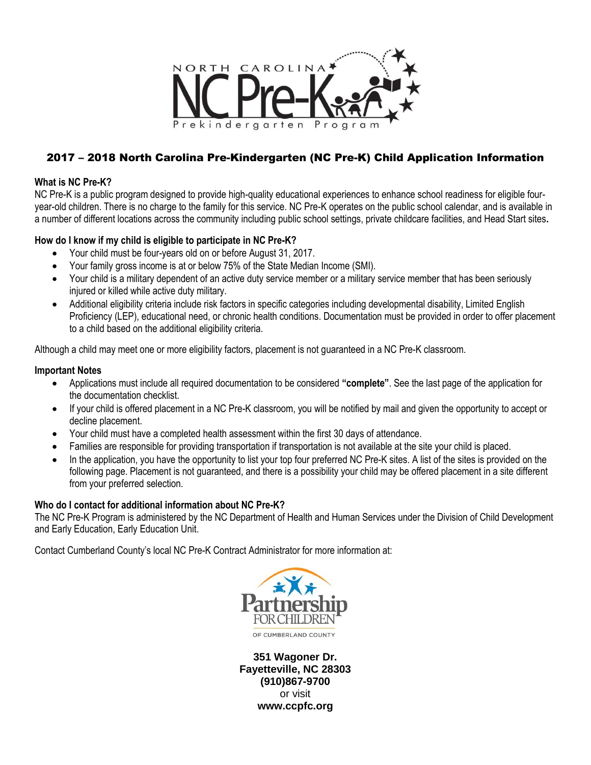

# 2017 – 2018 North Carolina Pre-Kindergarten (NC Pre-K) Child Application Information

## **What is NC Pre-K?**

NC Pre-K is a public program designed to provide high-quality educational experiences to enhance school readiness for eligible fouryear-old children. There is no charge to the family for this service. NC Pre-K operates on the public school calendar, and is available in a number of different locations across the community including [public school settings, private childcare facilities, and Head Start sites](https://ccpfc.org/nc-pre-k-site-locations)**.**

# **How do I know if my child is eligible to participate in NC Pre-K?**

- Your child must be [four-years old on or before August 31,](http://ncchildcare.nc.gov/PDF_forms/NCPre-K_Program_Requirements_Guidance.pdf) 2017.
- Your family gross income is [at or below 75% of the State Median Income \(SMI\).](http://ncchildcare.nc.gov/PDF_forms/NCPre-K_Program_Requirements_Guidance.pdf)
- Your child is a military dependent of an active duty service member or a military service member that has been seriously injured or killed while active duty military.
- Additional eligibility criteria include risk factors in specific categories including developmental disability, Limited English Proficiency (LEP), educational need, or chronic health conditions. Documentation must be provided in order to offer placement to a child based on the additional eligibility criteria.

Although a child may meet one or more eligibility factors, placement is not guaranteed in a NC Pre-K classroom.

### **Important Notes**

- Applications must include all required documentation to be considered **"complete"**. See the last page of the application for the documentation checklist.
- If your child is offered placement in a NC Pre-K classroom, you will be notified by mail and given the opportunity to accept or decline placement.
- Your child must have a completed health assessment within the first 30 days of attendance.
- Families are responsible for providing transportation if transportation is not available at the site your child is placed.
- In the application, you have the opportunity to list your top four preferred NC Pre-K sites. A list of the sites is provided on the following page. Placement is not guaranteed, and there is a possibility your child may be offered placement in a site different from your preferred selection.

### **Who do I contact for additional information about NC Pre-K?**

The NC Pre-K Program is administered by the NC Department of Health and Human Services under the Division of Child Development and Early Education, [Early Education Unit.](http://ncchildcare.nc.gov/pdf_forms/NCPre-K_EESLPD_Roles.pdf)

Contact Cumberland County's local NC Pre-K Contract Administrator for more information at:



**351 Wagoner Dr. Fayetteville, NC 28303 (910)867-9700** or visit **www.ccpfc.org**